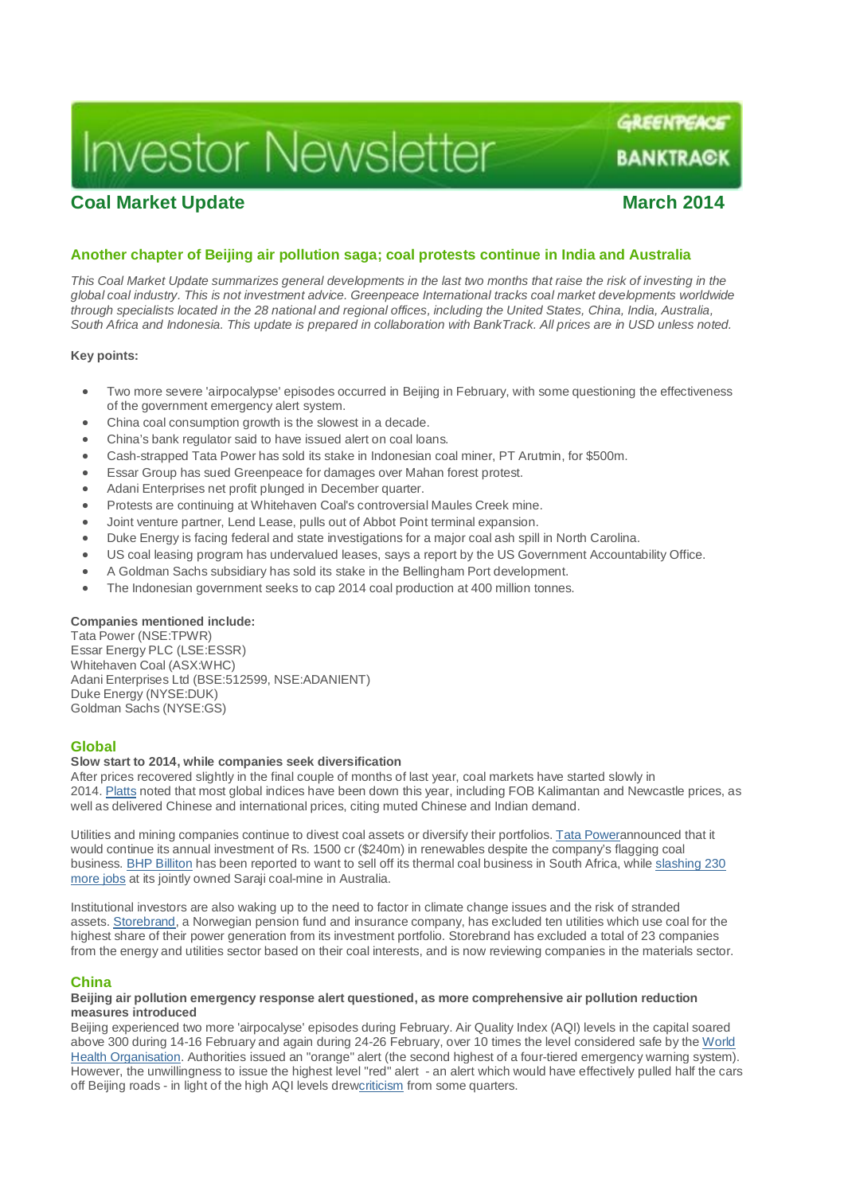# **Investor Newsletter**

## **Coal Market Update March 2014**

**BANKTRACK** 

GREENTEACE

### **Another chapter of Beijing air pollution saga; coal protests continue in India and Australia**

*This Coal Market Update summarizes general developments in the last two months that raise the risk of investing in the global coal industry. This is not investment advice. Greenpeace International tracks coal market developments worldwide through specialists located in the 28 national and regional offices, including the United States, China, India, Australia, South Africa and Indonesia. This update is prepared in collaboration with BankTrack. All prices are in USD unless noted.*

#### **Key points:**

- Two more severe 'airpocalypse' episodes occurred in Beijing in February, with some questioning the effectiveness of the government emergency alert system.
- China coal consumption growth is the slowest in a decade.
- China's bank regulator said to have issued alert on coal loans.
- Cash-strapped Tata Power has sold its stake in Indonesian coal miner, PT Arutmin, for \$500m.
- Essar Group has sued Greenpeace for damages over Mahan forest protest.
- Adani Enterprises net profit plunged in December quarter.
- Protests are continuing at Whitehaven Coal's controversial Maules Creek mine.
- Joint venture partner, Lend Lease, pulls out of Abbot Point terminal expansion.
- Duke Energy is facing federal and state investigations for a major coal ash spill in North Carolina.
- US coal leasing program has undervalued leases, says a report by the US Government Accountability Office.
- A Goldman Sachs subsidiary has sold its stake in the Bellingham Port development.
- The Indonesian government seeks to cap 2014 coal production at 400 million tonnes.

#### **Companies mentioned include:**

Tata Power (NSE:TPWR) Essar Energy PLC (LSE:ESSR) Whitehaven Coal (ASX:WHC) Adani Enterprises Ltd (BSE:512599, NSE:ADANIENT) Duke Energy (NYSE:DUK) Goldman Sachs (NYSE:GS)

#### **Global**

#### **Slow start to 2014, while companies seek diversification**

After prices recovered slightly in the final couple of months of last year, coal markets have started slowly in 2014. Platts noted that most global indices have been down this year, including FOB Kalimantan and Newcastle prices, as well as delivered Chinese and international prices, citing muted Chinese and Indian demand.

Utilities and mining companies continue to divest coal assets or diversify their portfolios. Tata Powerannounced that it would continue its annual investment of Rs. 1500 cr (\$240m) in renewables despite the company's flagging coal business. BHP Billiton has been reported to want to sell off its thermal coal business in South Africa, while slashing 230 more jobs at its jointly owned Saraji coal-mine in Australia.

Institutional investors are also waking up to the need to factor in climate change issues and the risk of stranded assets. Storebrand, a Norwegian pension fund and insurance company, has excluded ten utilities which use coal for the highest share of their power generation from its investment portfolio. Storebrand has excluded a total of 23 companies from the energy and utilities sector based on their coal interests, and is now reviewing companies in the materials sector.

#### **China**

#### **Beijing air pollution emergency response alert questioned, as more comprehensive air pollution reduction measures introduced**

Beijing experienced two more 'airpocalyse' episodes during February. Air Quality Index (AQI) levels in the capital soared above 300 during 14-16 February and again during 24-26 February, over 10 times the level considered safe by the World Health Organisation. Authorities issued an "orange" alert (the second highest of a four-tiered emergency warning system). However, the unwillingness to issue the highest level "red" alert - an alert which would have effectively pulled half the cars off Beijing roads - in light of the high AQI levels drewcriticism from some quarters.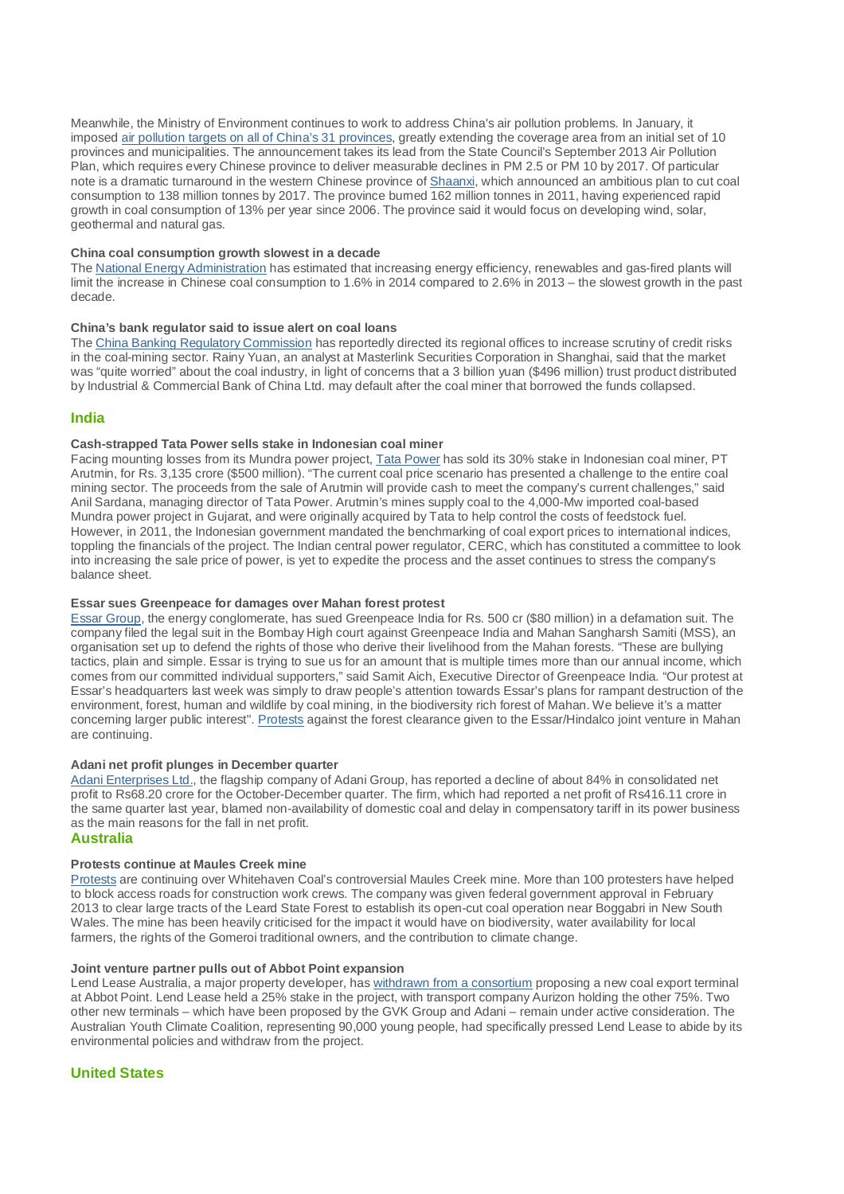Meanwhile, the Ministry of Environment continues to work to address China's air pollution problems. In January, it imposed air pollution targets on all of China's 31 provinces, greatly extending the coverage area from an initial set of 10 provinces and municipalities. The announcement takes its lead from the State Council's September 2013 Air Pollution Plan, which requires every Chinese province to deliver measurable declines in PM 2.5 or PM 10 by 2017. Of particular note is a dramatic turnaround in the western Chinese province of Shaanxi, which announced an ambitious plan to cut coal consumption to 138 million tonnes by 2017. The province burned 162 million tonnes in 2011, having experienced rapid growth in coal consumption of 13% per year since 2006. The province said it would focus on developing wind, solar, geothermal and natural gas.

#### **China coal consumption growth slowest in a decade**

The National Energy Administration has estimated that increasing energy efficiency, renewables and gas-fired plants will limit the increase in Chinese coal consumption to 1.6% in 2014 compared to 2.6% in 2013 – the slowest growth in the past decade.

#### **China's bank regulator said to issue alert on coal loans**

The China Banking Regulatory Commission has reportedly directed its regional offices to increase scrutiny of credit risks in the coal-mining sector. Rainy Yuan, an analyst at Masterlink Securities Corporation in Shanghai, said that the market was "quite worried" about the coal industry, in light of concerns that a 3 billion yuan (\$496 million) trust product distributed by Industrial & Commercial Bank of China Ltd. may default after the coal miner that borrowed the funds collapsed.

#### **India**

#### **Cash-strapped Tata Power sells stake in Indonesian coal miner**

Facing mounting losses from its Mundra power project, Tata Power has sold its 30% stake in Indonesian coal miner, PT Arutmin, for Rs. 3,135 crore (\$500 million). "The current coal price scenario has presented a challenge to the entire coal mining sector. The proceeds from the sale of Arutmin will provide cash to meet the company's current challenges," said Anil Sardana, managing director of Tata Power. Arutmin's mines supply coal to the 4,000-Mw imported coal-based Mundra power project in Gujarat, and were originally acquired by Tata to help control the costs of feedstock fuel. However, in 2011, the Indonesian government mandated the benchmarking of coal export prices to international indices, toppling the financials of the project. The Indian central power regulator, CERC, which has constituted a committee to look into increasing the sale price of power, is yet to expedite the process and the asset continues to stress the company's balance sheet.

#### **Essar sues Greenpeace for damages over Mahan forest protest**

Essar Group, the energy conglomerate, has sued Greenpeace India for Rs. 500 cr (\$80 million) in a defamation suit. The company filed the legal suit in the Bombay High court against Greenpeace India and Mahan Sangharsh Samiti (MSS), an organisation set up to defend the rights of those who derive their livelihood from the Mahan forests. "These are bullying tactics, plain and simple. Essar is trying to sue us for an amount that is multiple times more than our annual income, which comes from our committed individual supporters," said Samit Aich, Executive Director of Greenpeace India. "Our protest at Essar's headquarters last week was simply to draw people's attention towards Essar's plans for rampant destruction of the environment, forest, human and wildlife by coal mining, in the biodiversity rich forest of Mahan. We believe it's a matter concerning larger public interest". Protests against the forest clearance given to the Essar/Hindalco joint venture in Mahan are continuing.

#### **Adani net profit plunges in December quarter**

Adani Enterprises Ltd., the flagship company of Adani Group, has reported a decline of about 84% in consolidated net profit to Rs68.20 crore for the October-December quarter. The firm, which had reported a net profit of Rs416.11 crore in the same quarter last year, blamed non-availability of domestic coal and delay in compensatory tariff in its power business as the main reasons for the fall in net profit.

#### **Australia**

#### **Protests continue at Maules Creek mine**

Protests are continuing over Whitehaven Coal's controversial Maules Creek mine. More than 100 protesters have helped to block access roads for construction work crews. The company was given federal government approval in February 2013 to clear large tracts of the Leard State Forest to establish its open-cut coal operation near Boggabri in New South Wales. The mine has been heavily criticised for the impact it would have on biodiversity, water availability for local farmers, the rights of the Gomeroi traditional owners, and the contribution to climate change.

#### **Joint venture partner pulls out of Abbot Point expansion**

Lend Lease Australia, a major property developer, has withdrawn from a consortium proposing a new coal export terminal at Abbot Point. Lend Lease held a 25% stake in the project, with transport company Aurizon holding the other 75%. Two other new terminals – which have been proposed by the GVK Group and Adani – remain under active consideration. The Australian Youth Climate Coalition, representing 90,000 young people, had specifically pressed Lend Lease to abide by its environmental policies and withdraw from the project.

#### **United States**